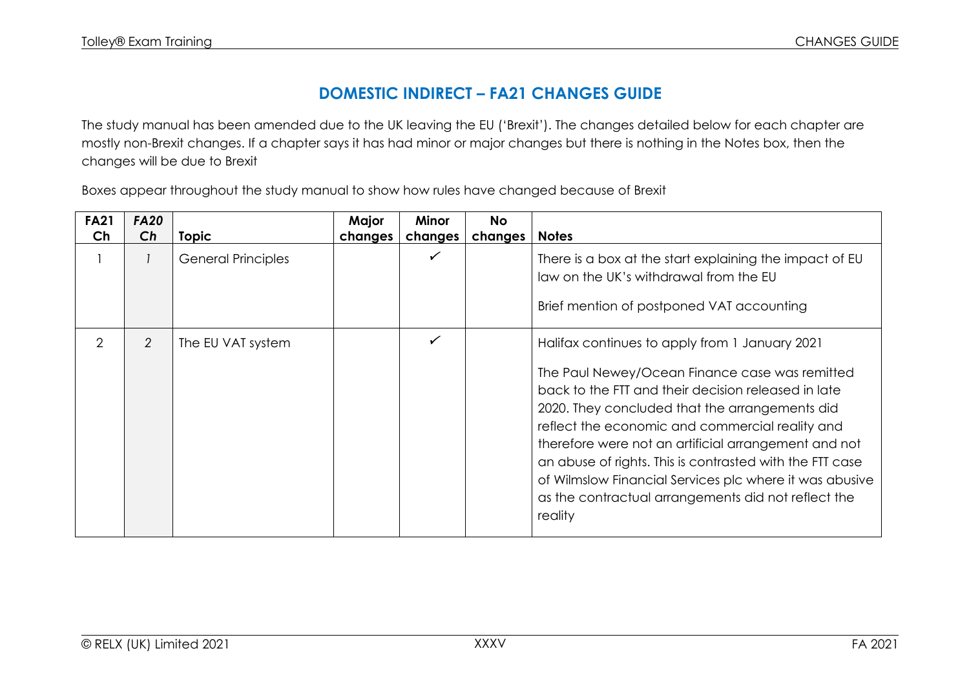## **DOMESTIC INDIRECT – FA21 CHANGES GUIDE**

The study manual has been amended due to the UK leaving the EU ('Brexit'). The changes detailed below for each chapter are mostly non-Brexit changes. If a chapter says it has had minor or major changes but there is nothing in the Notes box, then the changes will be due to Brexit

Boxes appear throughout the study manual to show how rules have changed because of Brexit

| <b>FA21</b> | <b>FA20</b> |                           | Major   | <b>Minor</b> | <b>No</b> |                                                                                                                                                                                                                                                                                                                                                                                                                                                                                                               |
|-------------|-------------|---------------------------|---------|--------------|-----------|---------------------------------------------------------------------------------------------------------------------------------------------------------------------------------------------------------------------------------------------------------------------------------------------------------------------------------------------------------------------------------------------------------------------------------------------------------------------------------------------------------------|
| Ch          | Ch          | <b>Topic</b>              | changes | changes      | changes   | <b>Notes</b>                                                                                                                                                                                                                                                                                                                                                                                                                                                                                                  |
|             |             | <b>General Principles</b> |         | ✓            |           | There is a box at the start explaining the impact of EU<br>law on the UK's withdrawal from the EU<br>Brief mention of postponed VAT accounting                                                                                                                                                                                                                                                                                                                                                                |
| 2           | 2           | The EU VAT system         |         | ✓            |           | Halifax continues to apply from 1 January 2021<br>The Paul Newey/Ocean Finance case was remitted<br>back to the FTT and their decision released in late<br>2020. They concluded that the arrangements did<br>reflect the economic and commercial reality and<br>therefore were not an artificial arrangement and not<br>an abuse of rights. This is contrasted with the FTT case<br>of Wilmslow Financial Services plc where it was abusive<br>as the contractual arrangements did not reflect the<br>reality |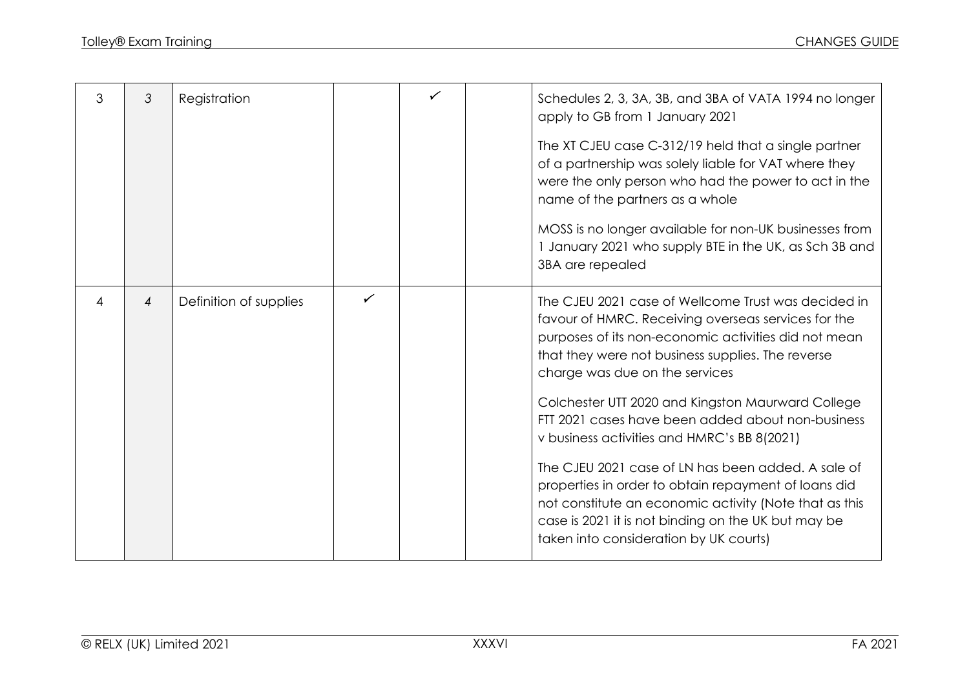| 3 | 3 | Registration           |   | ✓ |                  | Schedules 2, 3, 3A, 3B, and 3BA of VATA 1994 no longer<br>apply to GB from 1 January 2021                                                                                                                                                                             |
|---|---|------------------------|---|---|------------------|-----------------------------------------------------------------------------------------------------------------------------------------------------------------------------------------------------------------------------------------------------------------------|
|   |   |                        |   |   |                  | The XT CJEU case C-312/19 held that a single partner<br>of a partnership was solely liable for VAT where they<br>were the only person who had the power to act in the<br>name of the partners as a whole                                                              |
|   |   |                        |   |   | 3BA are repealed | MOSS is no longer available for non-UK businesses from<br>1 January 2021 who supply BTE in the UK, as Sch 3B and                                                                                                                                                      |
| 4 | 4 | Definition of supplies | ✓ |   |                  | The CJEU 2021 case of Wellcome Trust was decided in<br>favour of HMRC. Receiving overseas services for the<br>purposes of its non-economic activities did not mean<br>that they were not business supplies. The reverse<br>charge was due on the services             |
|   |   |                        |   |   |                  | Colchester UTT 2020 and Kingston Maurward College<br>FTT 2021 cases have been added about non-business<br>v business activities and HMRC's BB 8(2021)                                                                                                                 |
|   |   |                        |   |   |                  | The CJEU 2021 case of LN has been added. A sale of<br>properties in order to obtain repayment of loans did<br>not constitute an economic activity (Note that as this<br>case is 2021 it is not binding on the UK but may be<br>taken into consideration by UK courts) |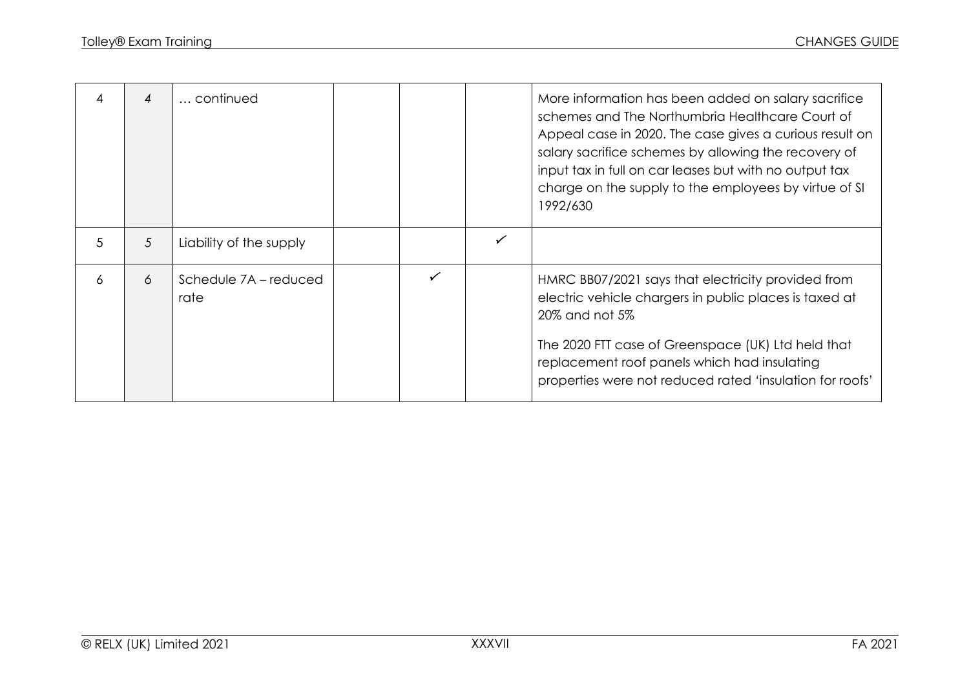| 4 | 4 | continued                     |  |   | More information has been added on salary sacrifice<br>schemes and The Northumbria Healthcare Court of<br>Appeal case in 2020. The case gives a curious result on<br>salary sacrifice schemes by allowing the recovery of<br>input tax in full on car leases but with no output tax<br>charge on the supply to the employees by virtue of SI<br>1992/630 |
|---|---|-------------------------------|--|---|----------------------------------------------------------------------------------------------------------------------------------------------------------------------------------------------------------------------------------------------------------------------------------------------------------------------------------------------------------|
| 5 | 5 | Liability of the supply       |  | ✓ |                                                                                                                                                                                                                                                                                                                                                          |
| 6 | 6 | Schedule 7A – reduced<br>rate |  |   | HMRC BB07/2021 says that electricity provided from<br>electric vehicle chargers in public places is taxed at<br>20% and not 5%<br>The 2020 FTT case of Greenspace (UK) Ltd held that<br>replacement roof panels which had insulating<br>properties were not reduced rated 'insulation for roofs'                                                         |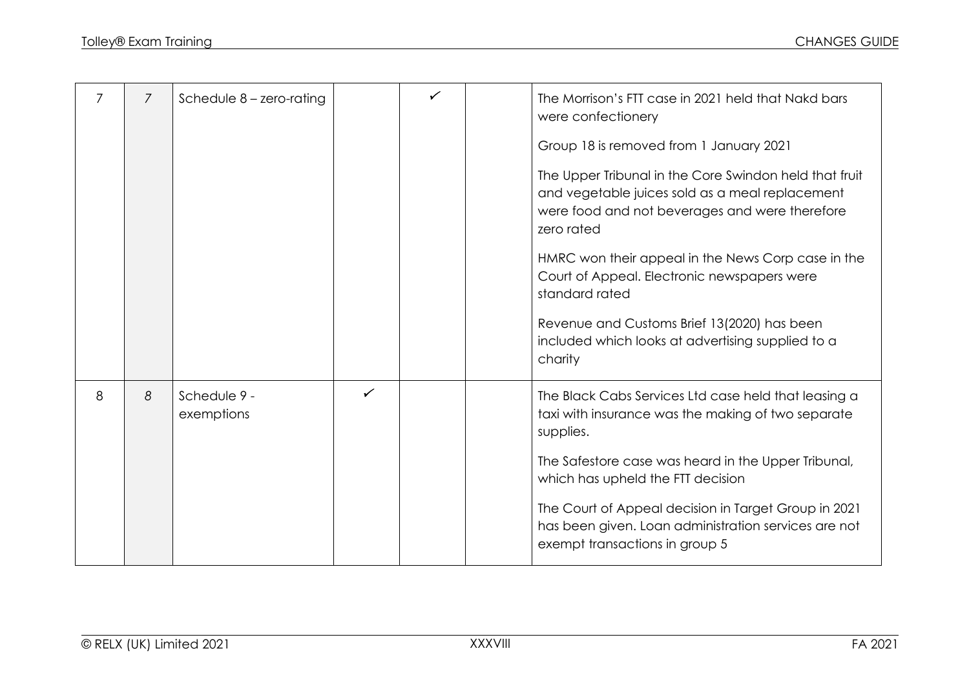| 7 | $\overline{7}$ | Schedule $8$ – zero-rating |              |  | The Morrison's FTT case in 2021 held that Nakd bars<br>were confectionery                                                                                                 |
|---|----------------|----------------------------|--------------|--|---------------------------------------------------------------------------------------------------------------------------------------------------------------------------|
|   |                |                            |              |  | Group 18 is removed from 1 January 2021                                                                                                                                   |
|   |                |                            |              |  | The Upper Tribunal in the Core Swindon held that fruit<br>and vegetable juices sold as a meal replacement<br>were food and not beverages and were therefore<br>zero rated |
|   |                |                            |              |  | HMRC won their appeal in the News Corp case in the<br>Court of Appeal. Electronic newspapers were<br>standard rated                                                       |
|   |                |                            |              |  | Revenue and Customs Brief 13(2020) has been<br>included which looks at advertising supplied to a<br>charity                                                               |
| 8 | 8              | Schedule 9 -<br>exemptions | $\checkmark$ |  | The Black Cabs Services Ltd case held that leasing a<br>taxi with insurance was the making of two separate<br>supplies.                                                   |
|   |                |                            |              |  | The Safestore case was heard in the Upper Tribunal,<br>which has upheld the FTT decision                                                                                  |
|   |                |                            |              |  | The Court of Appeal decision in Target Group in 2021<br>has been given. Loan administration services are not<br>exempt transactions in group 5                            |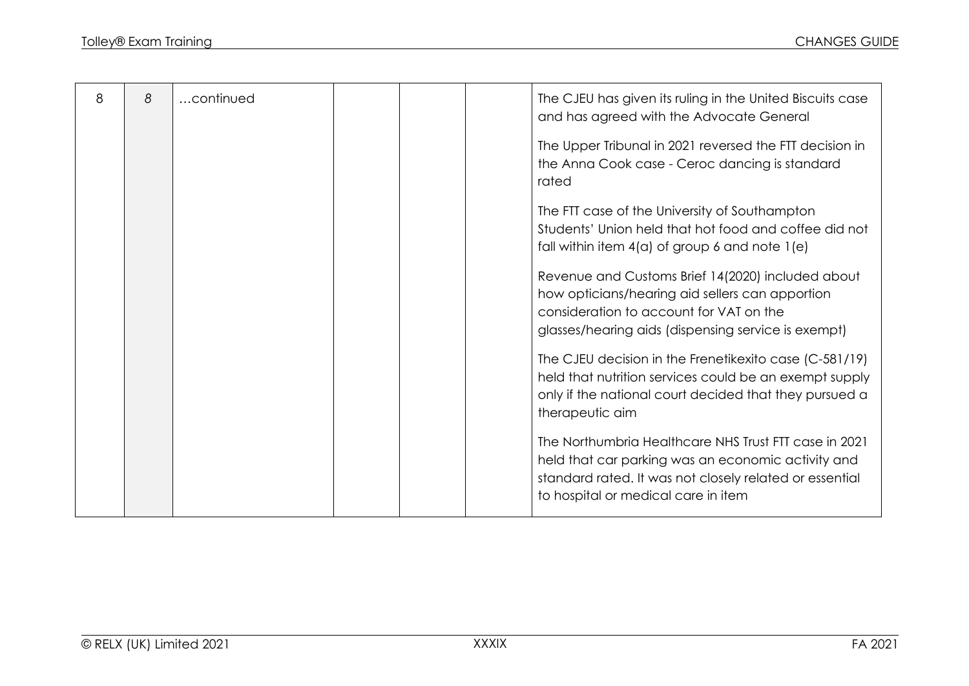| 8 | 8 | continued |  | The CJEU has given its ruling in the United Biscuits case<br>and has agreed with the Advocate General                                                                                                         |
|---|---|-----------|--|---------------------------------------------------------------------------------------------------------------------------------------------------------------------------------------------------------------|
|   |   |           |  | The Upper Tribunal in 2021 reversed the FTT decision in<br>the Anna Cook case - Ceroc dancing is standard<br>rated                                                                                            |
|   |   |           |  | The FTT case of the University of Southampton<br>Students' Union held that hot food and coffee did not<br>fall within item $4(a)$ of group 6 and note $1(e)$                                                  |
|   |   |           |  | Revenue and Customs Brief 14(2020) included about<br>how opticians/hearing aid sellers can apportion<br>consideration to account for VAT on the<br>glasses/hearing aids (dispensing service is exempt)        |
|   |   |           |  | The CJEU decision in the Frenetikexito case (C-581/19)<br>held that nutrition services could be an exempt supply<br>only if the national court decided that they pursued a<br>therapeutic aim                 |
|   |   |           |  | The Northumbria Healthcare NHS Trust FTT case in 2021<br>held that car parking was an economic activity and<br>standard rated. It was not closely related or essential<br>to hospital or medical care in item |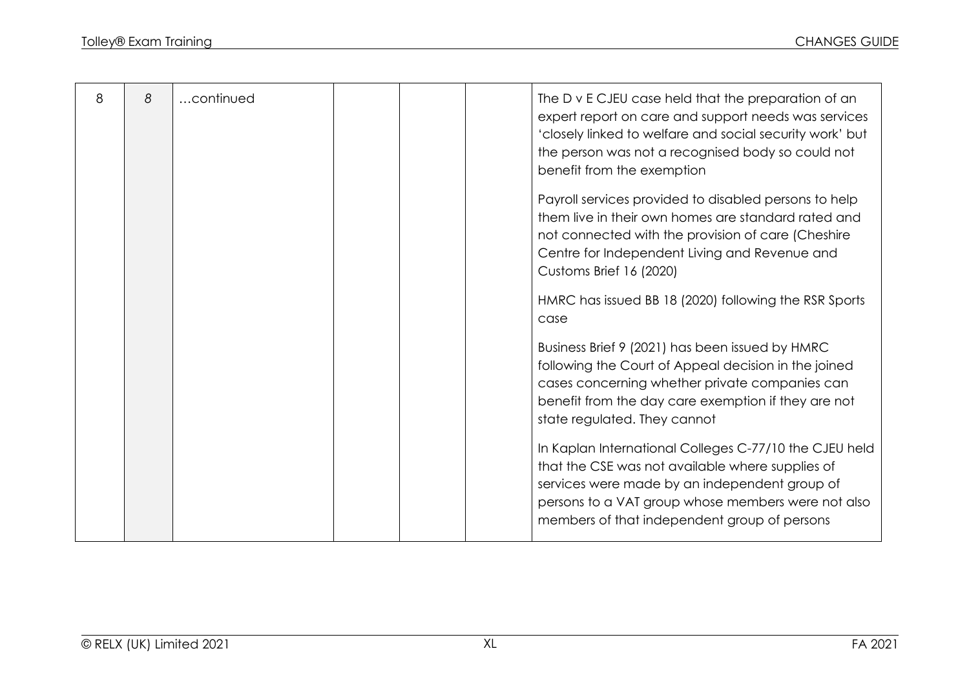| 8 | 8 | continued | The D v E CJEU case held that the preparation of an<br>expert report on care and support needs was services<br>'closely linked to welfare and social security work' but<br>the person was not a recognised body so could not<br>benefit from the exemption        |
|---|---|-----------|-------------------------------------------------------------------------------------------------------------------------------------------------------------------------------------------------------------------------------------------------------------------|
|   |   |           | Payroll services provided to disabled persons to help<br>them live in their own homes are standard rated and<br>not connected with the provision of care (Cheshire<br>Centre for Independent Living and Revenue and<br>Customs Brief 16 (2020)                    |
|   |   |           | HMRC has issued BB 18 (2020) following the RSR Sports<br>case                                                                                                                                                                                                     |
|   |   |           | Business Brief 9 (2021) has been issued by HMRC<br>following the Court of Appeal decision in the joined<br>cases concerning whether private companies can<br>benefit from the day care exemption if they are not<br>state regulated. They cannot                  |
|   |   |           | In Kaplan International Colleges C-77/10 the CJEU held<br>that the CSE was not available where supplies of<br>services were made by an independent group of<br>persons to a VAT group whose members were not also<br>members of that independent group of persons |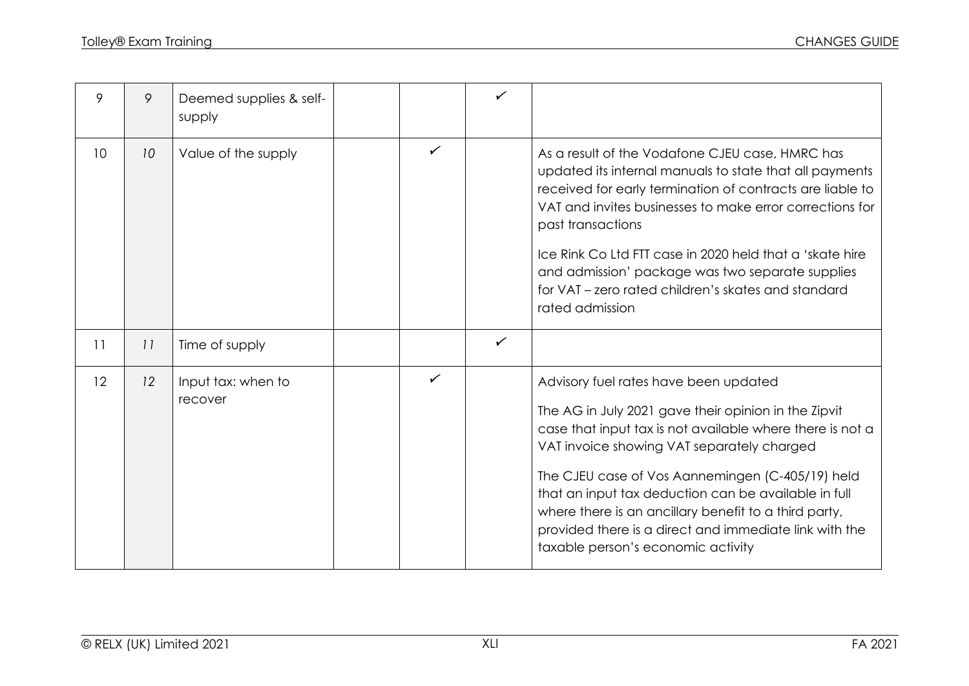| 9               | 9  | Deemed supplies & self-<br>supply |   | $\checkmark$ |                                                                                                                                                                                                                                                                                                                                                                                                                                                                               |
|-----------------|----|-----------------------------------|---|--------------|-------------------------------------------------------------------------------------------------------------------------------------------------------------------------------------------------------------------------------------------------------------------------------------------------------------------------------------------------------------------------------------------------------------------------------------------------------------------------------|
| 10 <sup>°</sup> | 10 | Value of the supply               | ✓ |              | As a result of the Vodafone CJEU case, HMRC has<br>updated its internal manuals to state that all payments<br>received for early termination of contracts are liable to<br>VAT and invites businesses to make error corrections for<br>past transactions<br>Ice Rink Co Ltd FTT case in 2020 held that a 'skate hire<br>and admission' package was two separate supplies<br>for VAT – zero rated children's skates and standard<br>rated admission                            |
| 11              | 11 | Time of supply                    |   | $\checkmark$ |                                                                                                                                                                                                                                                                                                                                                                                                                                                                               |
| 12              | 12 | Input tax: when to<br>recover     | ✓ |              | Advisory fuel rates have been updated<br>The AG in July 2021 gave their opinion in the Zipvit<br>case that input tax is not available where there is not a<br>VAT invoice showing VAT separately charged<br>The CJEU case of Vos Aannemingen (C-405/19) held<br>that an input tax deduction can be available in full<br>where there is an ancillary benefit to a third party,<br>provided there is a direct and immediate link with the<br>taxable person's economic activity |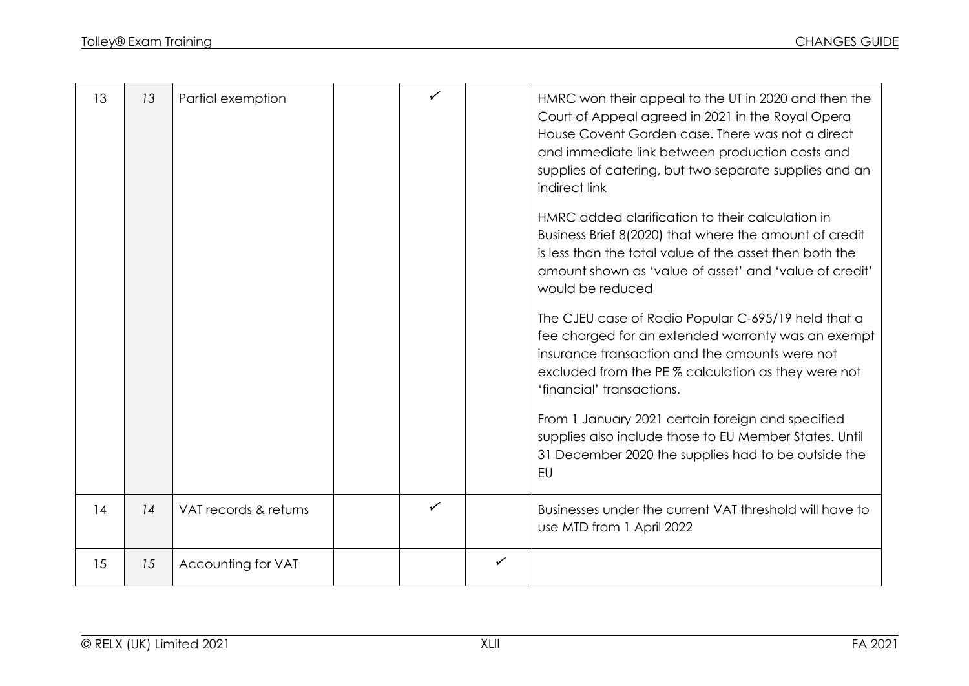| 13 | 13 | Partial exemption     |   |              | HMRC won their appeal to the UT in 2020 and then the<br>Court of Appeal agreed in 2021 in the Royal Opera<br>House Covent Garden case. There was not a direct<br>and immediate link between production costs and<br>supplies of catering, but two separate supplies and an<br>indirect link<br>HMRC added clarification to their calculation in<br>Business Brief 8(2020) that where the amount of credit<br>is less than the total value of the asset then both the<br>amount shown as 'value of asset' and 'value of credit'<br>would be reduced<br>The CJEU case of Radio Popular C-695/19 held that a<br>fee charged for an extended warranty was an exempt<br>insurance transaction and the amounts were not<br>excluded from the PE % calculation as they were not<br>'financial' transactions.<br>From 1 January 2021 certain foreign and specified<br>supplies also include those to EU Member States. Until<br>31 December 2020 the supplies had to be outside the<br>EU |
|----|----|-----------------------|---|--------------|-----------------------------------------------------------------------------------------------------------------------------------------------------------------------------------------------------------------------------------------------------------------------------------------------------------------------------------------------------------------------------------------------------------------------------------------------------------------------------------------------------------------------------------------------------------------------------------------------------------------------------------------------------------------------------------------------------------------------------------------------------------------------------------------------------------------------------------------------------------------------------------------------------------------------------------------------------------------------------------|
| 14 | 14 | VAT records & returns | ✓ |              | Businesses under the current VAT threshold will have to<br>use MTD from 1 April 2022                                                                                                                                                                                                                                                                                                                                                                                                                                                                                                                                                                                                                                                                                                                                                                                                                                                                                              |
| 15 | 15 | Accounting for VAT    |   | $\checkmark$ |                                                                                                                                                                                                                                                                                                                                                                                                                                                                                                                                                                                                                                                                                                                                                                                                                                                                                                                                                                                   |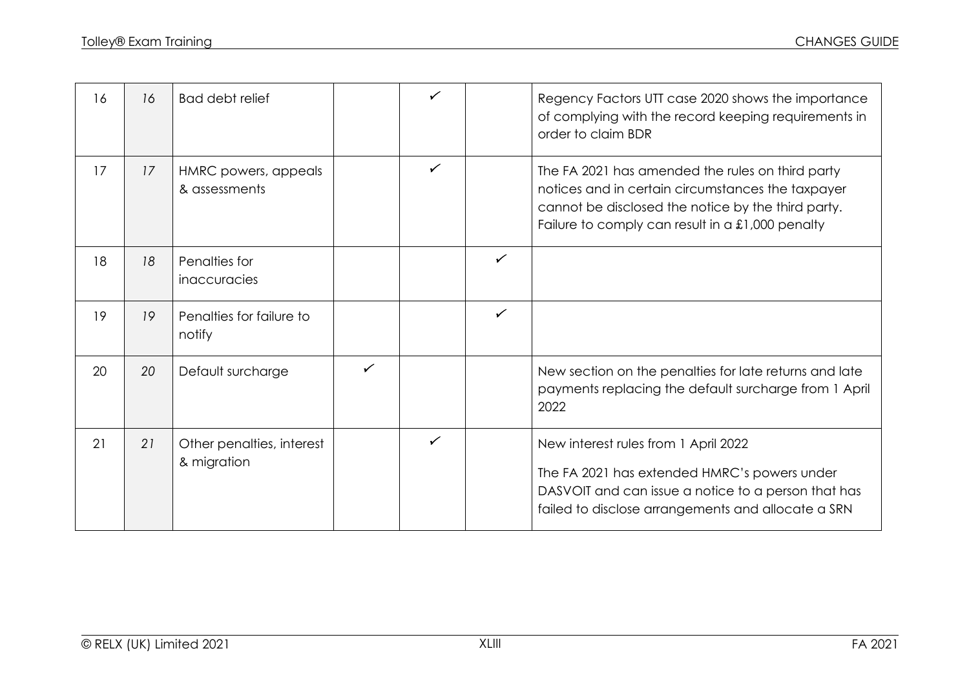| 16 | 16 | Bad debt relief                          |              | $\checkmark$ |              | Regency Factors UTT case 2020 shows the importance<br>of complying with the record keeping requirements in<br>order to claim BDR                                                                                  |
|----|----|------------------------------------------|--------------|--------------|--------------|-------------------------------------------------------------------------------------------------------------------------------------------------------------------------------------------------------------------|
| 17 | 17 | HMRC powers, appeals<br>& assessments    |              | $\checkmark$ |              | The FA 2021 has amended the rules on third party<br>notices and in certain circumstances the taxpayer<br>cannot be disclosed the notice by the third party.<br>Failure to comply can result in a $£1,000$ penalty |
| 18 | 18 | Penalties for<br>inaccuracies            |              |              | $\checkmark$ |                                                                                                                                                                                                                   |
| 19 | 19 | Penalties for failure to<br>notify       |              |              | $\checkmark$ |                                                                                                                                                                                                                   |
| 20 | 20 | Default surcharge                        | $\checkmark$ |              |              | New section on the penalties for late returns and late<br>payments replacing the default surcharge from 1 April<br>2022                                                                                           |
| 21 | 21 | Other penalties, interest<br>& migration |              | $\checkmark$ |              | New interest rules from 1 April 2022<br>The FA 2021 has extended HMRC's powers under<br>DASVOIT and can issue a notice to a person that has<br>failed to disclose arrangements and allocate a SRN                 |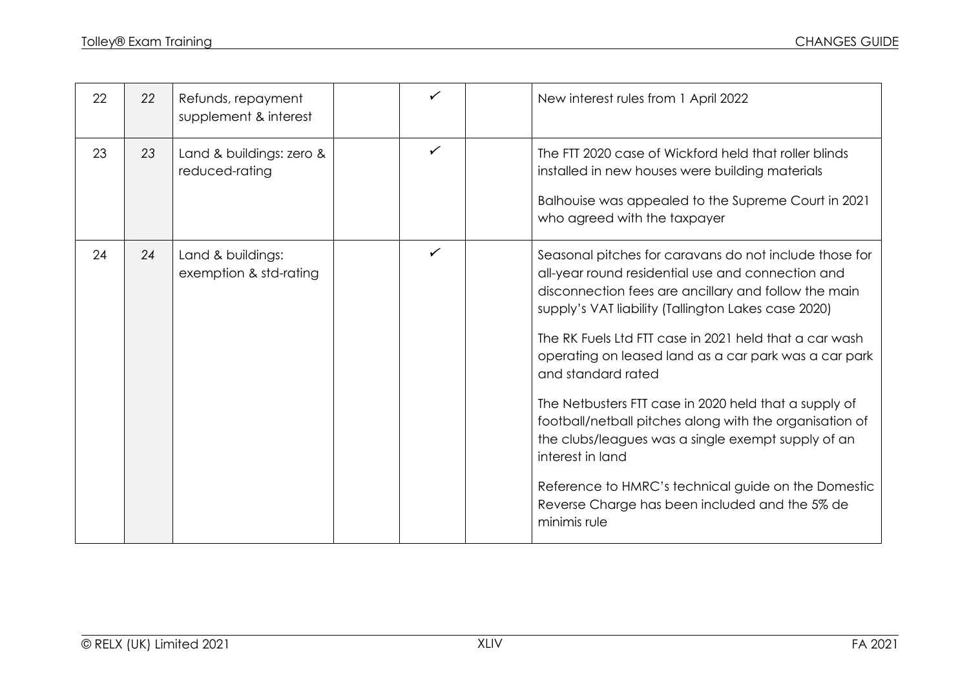| 22 | 22 | Refunds, repayment<br>supplement & interest | ✓ |                                                        | New interest rules from 1 April 2022                                                                                                                                                                                                                                                                                                                                                                                                                                                                                                                                                                                             |
|----|----|---------------------------------------------|---|--------------------------------------------------------|----------------------------------------------------------------------------------------------------------------------------------------------------------------------------------------------------------------------------------------------------------------------------------------------------------------------------------------------------------------------------------------------------------------------------------------------------------------------------------------------------------------------------------------------------------------------------------------------------------------------------------|
| 23 | 23 | Land & buildings: zero &<br>reduced-rating  | ✓ |                                                        | The FTT 2020 case of Wickford held that roller blinds<br>installed in new houses were building materials<br>Balhouise was appealed to the Supreme Court in 2021<br>who agreed with the taxpayer                                                                                                                                                                                                                                                                                                                                                                                                                                  |
| 24 | 24 | Land & buildings:<br>exemption & std-rating | ✓ | and standard rated<br>interest in land<br>minimis rule | Seasonal pitches for caravans do not include those for<br>all-year round residential use and connection and<br>disconnection fees are ancillary and follow the main<br>supply's VAT liability (Tallington Lakes case 2020)<br>The RK Fuels Ltd FTT case in 2021 held that a car wash<br>operating on leased land as a car park was a car park<br>The Netbusters FTT case in 2020 held that a supply of<br>football/netball pitches along with the organisation of<br>the clubs/leagues was a single exempt supply of an<br>Reference to HMRC's technical guide on the Domestic<br>Reverse Charge has been included and the 5% de |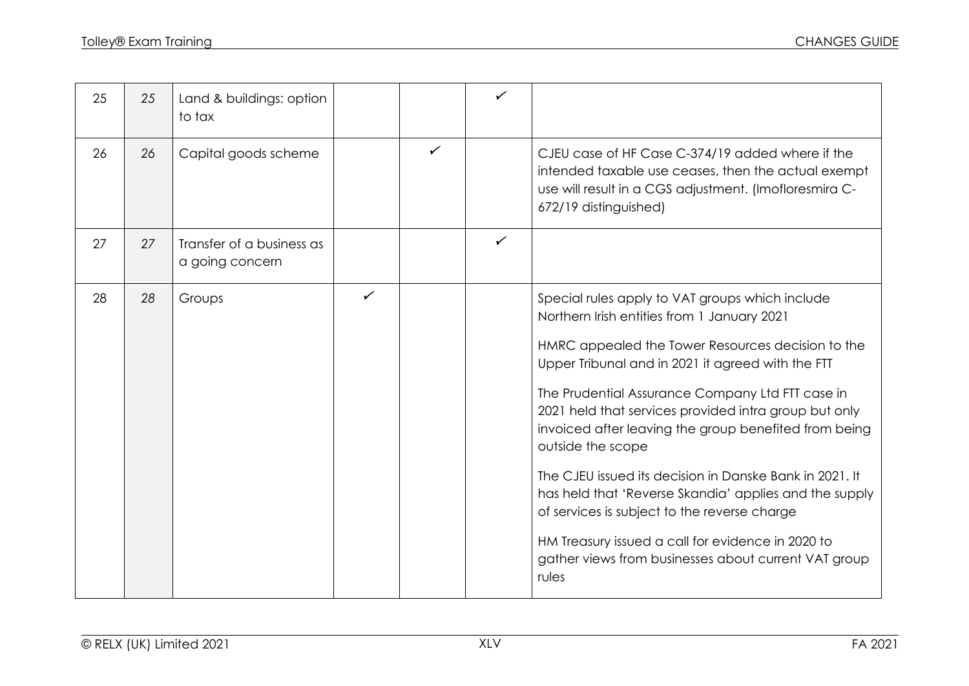| 25 | 25 | Land & buildings: option<br>to tax           |              |   | ✓ |                                                                                                                                                                                                                                                                                                                                                                                                                                                                                                                                                                                                                                                                                                |
|----|----|----------------------------------------------|--------------|---|---|------------------------------------------------------------------------------------------------------------------------------------------------------------------------------------------------------------------------------------------------------------------------------------------------------------------------------------------------------------------------------------------------------------------------------------------------------------------------------------------------------------------------------------------------------------------------------------------------------------------------------------------------------------------------------------------------|
| 26 | 26 | Capital goods scheme                         |              | ✓ |   | CJEU case of HF Case C-374/19 added where if the<br>intended taxable use ceases, then the actual exempt<br>use will result in a CGS adjustment. (Imofloresmira C-<br>672/19 distinguished)                                                                                                                                                                                                                                                                                                                                                                                                                                                                                                     |
| 27 | 27 | Transfer of a business as<br>a going concern |              |   | ✓ |                                                                                                                                                                                                                                                                                                                                                                                                                                                                                                                                                                                                                                                                                                |
| 28 | 28 | Groups                                       | $\checkmark$ |   |   | Special rules apply to VAT groups which include<br>Northern Irish entities from 1 January 2021<br>HMRC appealed the Tower Resources decision to the<br>Upper Tribunal and in 2021 it agreed with the FTT<br>The Prudential Assurance Company Ltd FTT case in<br>2021 held that services provided intra group but only<br>invoiced after leaving the group benefited from being<br>outside the scope<br>The CJEU issued its decision in Danske Bank in 2021. It<br>has held that 'Reverse Skandia' applies and the supply<br>of services is subject to the reverse charge<br>HM Treasury issued a call for evidence in 2020 to<br>gather views from businesses about current VAT group<br>rules |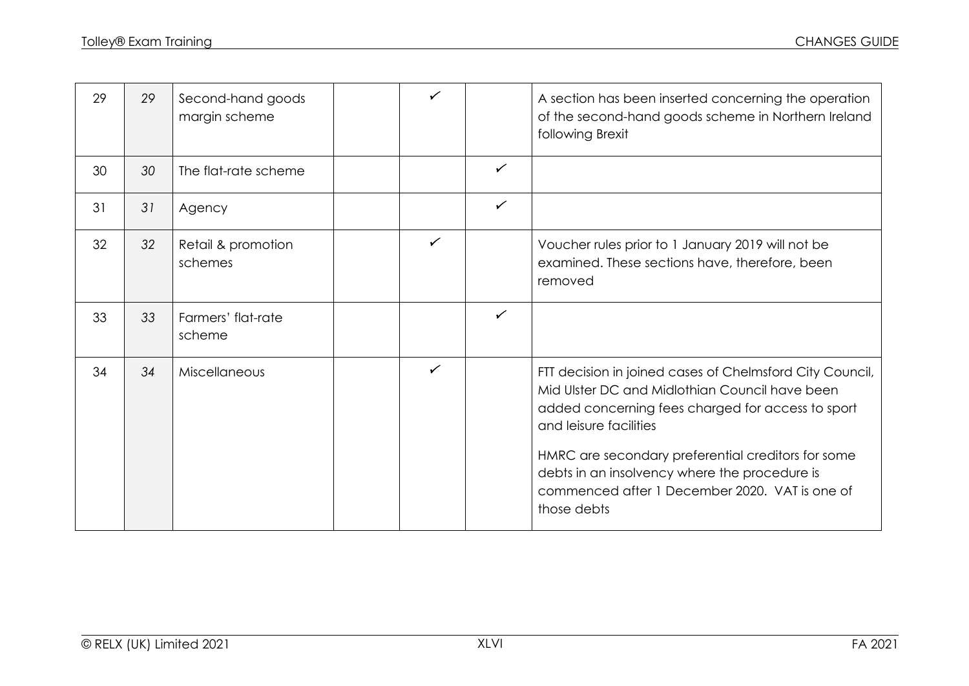| 29 | 29 | Second-hand goods<br>margin scheme | ✓            |              | A section has been inserted concerning the operation<br>of the second-hand goods scheme in Northern Ireland<br>following Brexit                                                                                                                                                                                                                                   |
|----|----|------------------------------------|--------------|--------------|-------------------------------------------------------------------------------------------------------------------------------------------------------------------------------------------------------------------------------------------------------------------------------------------------------------------------------------------------------------------|
| 30 | 30 | The flat-rate scheme               |              | $\checkmark$ |                                                                                                                                                                                                                                                                                                                                                                   |
| 31 | 31 | Agency                             |              | $\checkmark$ |                                                                                                                                                                                                                                                                                                                                                                   |
| 32 | 32 | Retail & promotion<br>schemes      | $\checkmark$ |              | Voucher rules prior to 1 January 2019 will not be<br>examined. These sections have, therefore, been<br>removed                                                                                                                                                                                                                                                    |
| 33 | 33 | Farmers' flat-rate<br>scheme       |              | $\checkmark$ |                                                                                                                                                                                                                                                                                                                                                                   |
| 34 | 34 | Miscellaneous                      | $\checkmark$ |              | FTT decision in joined cases of Chelmsford City Council,<br>Mid Ulster DC and Midlothian Council have been<br>added concerning fees charged for access to sport<br>and leisure facilities<br>HMRC are secondary preferential creditors for some<br>debts in an insolvency where the procedure is<br>commenced after 1 December 2020. VAT is one of<br>those debts |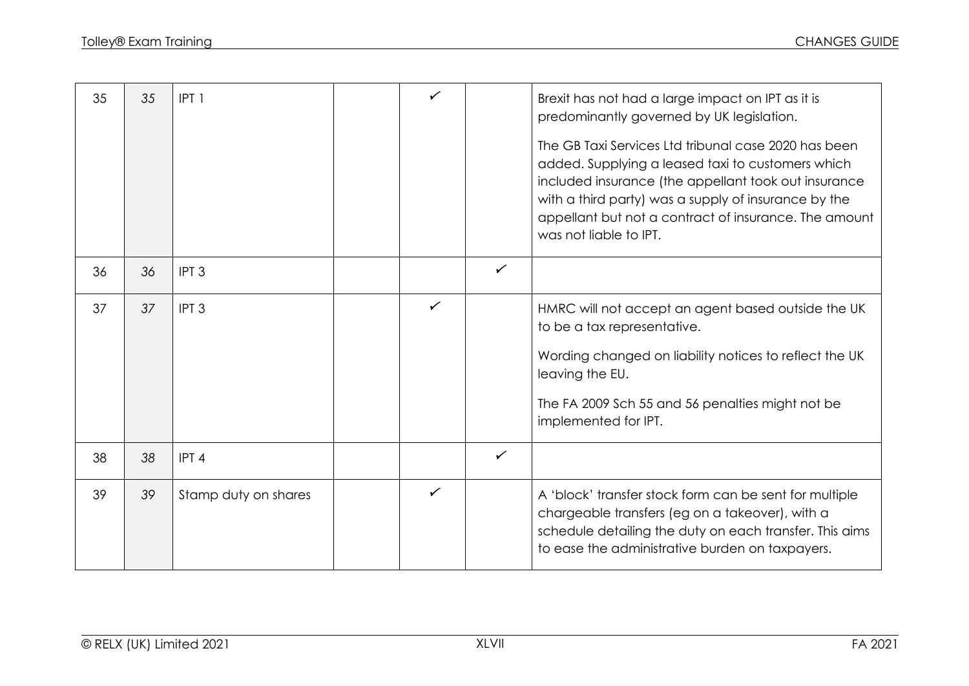| 35 | 35 | IPT <sub>1</sub>     | ✓            |              | Brexit has not had a large impact on IPT as it is<br>predominantly governed by UK legislation.<br>The GB Taxi Services Ltd tribunal case 2020 has been<br>added. Supplying a leased taxi to customers which<br>included insurance (the appellant took out insurance<br>with a third party) was a supply of insurance by the<br>appellant but not a contract of insurance. The amount<br>was not liable to IPT. |
|----|----|----------------------|--------------|--------------|----------------------------------------------------------------------------------------------------------------------------------------------------------------------------------------------------------------------------------------------------------------------------------------------------------------------------------------------------------------------------------------------------------------|
| 36 | 36 | IPT <sub>3</sub>     |              | $\checkmark$ |                                                                                                                                                                                                                                                                                                                                                                                                                |
| 37 | 37 | IPT <sub>3</sub>     | $\checkmark$ |              | HMRC will not accept an agent based outside the UK<br>to be a tax representative.<br>Wording changed on liability notices to reflect the UK<br>leaving the EU.<br>The FA 2009 Sch 55 and 56 penalties might not be<br>implemented for IPT.                                                                                                                                                                     |
| 38 | 38 | IPT <sub>4</sub>     |              | $\checkmark$ |                                                                                                                                                                                                                                                                                                                                                                                                                |
| 39 | 39 | Stamp duty on shares | $\checkmark$ |              | A 'block' transfer stock form can be sent for multiple<br>chargeable transfers (eg on a takeover), with a<br>schedule detailing the duty on each transfer. This aims<br>to ease the administrative burden on taxpayers.                                                                                                                                                                                        |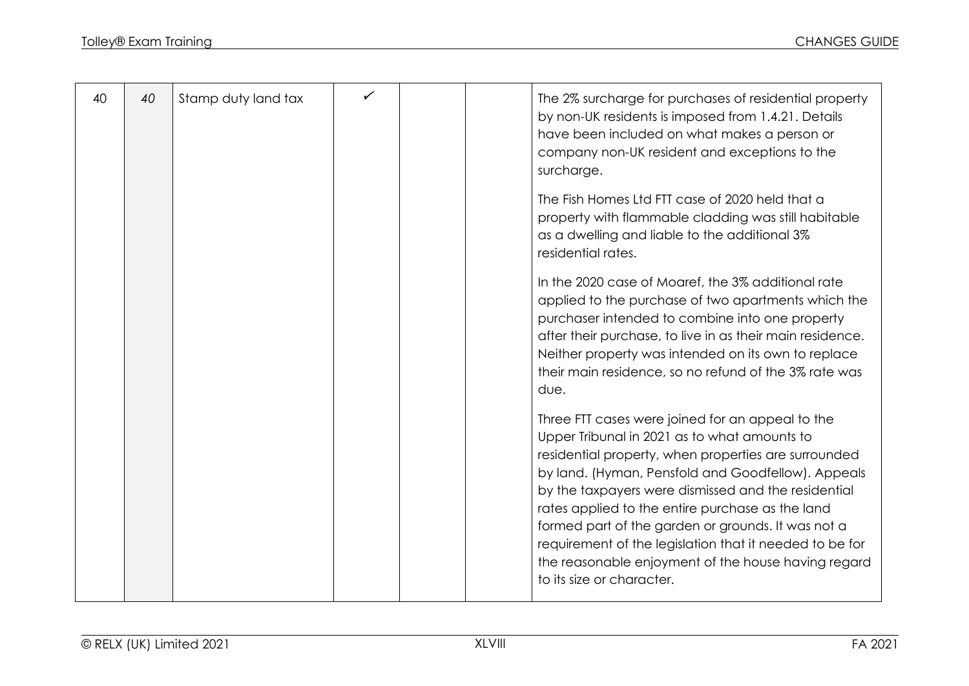| 40 | 40 | Stamp duty land tax |  | The 2% surcharge for purchases of residential property<br>by non-UK residents is imposed from 1.4.21. Details<br>have been included on what makes a person or<br>company non-UK resident and exceptions to the<br>surcharge.                                                                                                                                                                                                                                                                                                   |
|----|----|---------------------|--|--------------------------------------------------------------------------------------------------------------------------------------------------------------------------------------------------------------------------------------------------------------------------------------------------------------------------------------------------------------------------------------------------------------------------------------------------------------------------------------------------------------------------------|
|    |    |                     |  | The Fish Homes Ltd FTT case of 2020 held that a<br>property with flammable cladding was still habitable<br>as a dwelling and liable to the additional 3%<br>residential rates.                                                                                                                                                                                                                                                                                                                                                 |
|    |    |                     |  | In the 2020 case of Moaref, the 3% additional rate<br>applied to the purchase of two apartments which the<br>purchaser intended to combine into one property<br>after their purchase, to live in as their main residence.<br>Neither property was intended on its own to replace<br>their main residence, so no refund of the 3% rate was<br>due.                                                                                                                                                                              |
|    |    |                     |  | Three FTT cases were joined for an appeal to the<br>Upper Tribunal in 2021 as to what amounts to<br>residential property, when properties are surrounded<br>by land. (Hyman, Pensfold and Goodfellow). Appeals<br>by the taxpayers were dismissed and the residential<br>rates applied to the entire purchase as the land<br>formed part of the garden or grounds. It was not a<br>requirement of the legislation that it needed to be for<br>the reasonable enjoyment of the house having regard<br>to its size or character. |